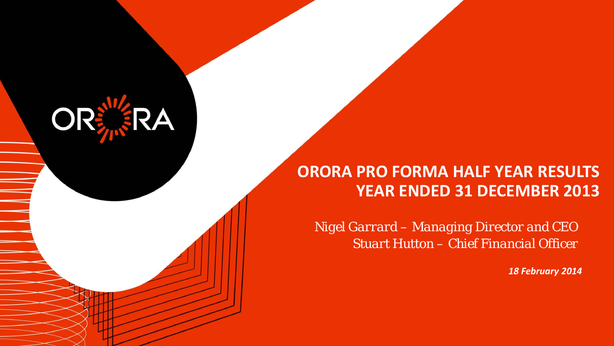# **ORORA PRO FORMA HALF YEAR RESULTS YEAR ENDED 31 DECEMBER 2013**

OF

*Nigel Garrard – Managing Director and CEO Stuart Hutton – Chief Financial Officer*

*18 February 2014*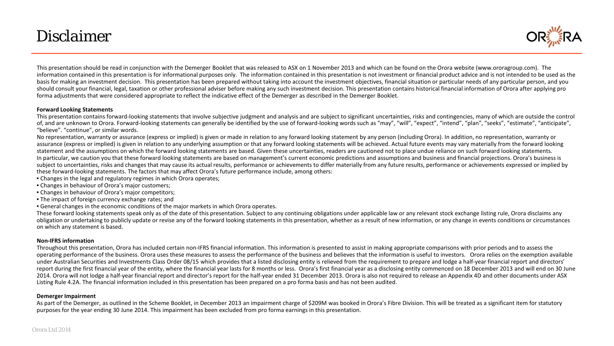# *Disclaimer*



This presentation should be read in conjunction with the Demerger Booklet that was released to ASX on 1 November 2013 and which can be found on the Orora website (www.ororagroup.com). The information contained in this presentation is for informational purposes only. The information contained in this presentation is not investment or financial product advice and is not intended to be used as the basis for making an investment decision. This presentation has been prepared without taking into account the investment objectives, financial situation or particular needs of any particular person, and you should consult your financial, legal, taxation or other professional adviser before making any such investment decision. This presentation contains historical financial information of Orora after applying pro forma adjustments that were considered appropriate to reflect the indicative effect of the Demerger as described in the Demerger Booklet.

#### **Forward Looking Statements**

This presentation contains forward-looking statements that involve subjective judgment and analysis and are subject to significant uncertainties, risks and contingencies, many of which are outside the control of, and are unknown to Orora. Forward-looking statements can generally be identified by the use of forward-looking words such as "may", "will", "expect", "intend", "plan", "seeks", "estimate", "anticipate", "believe". "continue", or similar words.

No representation, warranty or assurance (express or implied) is given or made in relation to any forward looking statement by any person (including Orora). In addition, no representation, warranty or assurance (express or implied) is given in relation to any underlying assumption or that any forward looking statements will be achieved. Actual future events may vary materially from the forward looking statement and the assumptions on which the forward looking statements are based. Given these uncertainties, readers are cautioned not to place undue reliance on such forward looking statements. In particular, we caution you that these forward looking statements are based on management's current economic predictions and assumptions and business and financial projections. Orora's business is subject to uncertainties, risks and changes that may cause its actual results, performance or achievements to differ materially from any future results, performance or achievements expressed or implied by these forward-looking statements. The factors that may affect Orora's future performance include, among others:

- Changes in the legal and regulatory regimes in which Orora operates;
- Changes in behaviour of Orora's major customers;
- Changes in behaviour of Orora's major competitors;
- The impact of foreign currency exchange rates; and
- General changes in the economic conditions of the major markets in which Orora operates.

These forward looking statements speak only as of the date of this presentation. Subject to any continuing obligations under applicable law or any relevant stock exchange listing rule, Orora disclaims any obligation or undertaking to publicly update or revise any of the forward looking statements in this presentation, whether as a result of new information, or any change in events conditions or circumstances on which any statement is based.

#### **Non-IFRS information**

Throughout this presentation, Orora has included certain non-IFRS financial information. This information is presented to assist in making appropriate comparisons with prior periods and to assess the operating performance of the business. Orora uses these measures to assess the performance of the business and believes that the information is useful to investors. Orora relies on the exemption available under Australian Securities and Investments Class Order 08/15 which provides that a listed disclosing entity is relieved from the requirement to prepare and lodge a half-year financial report and directors' report during the first financial year of the entity, where the financial year lasts for 8 months or less. Orora's first financial year as a disclosing entity commenced on 18 December 2013 and will end on 30 June 2014. Orora will not lodge a half-year financial report and director's report for the half-year ended 31 December 2013. Orora is also not required to release an Appendix 4D and other documents under ASX Listing Rule 4.2A. The financial information included in this presentation has been prepared on a pro forma basis and has not been audited.

#### **Demerger Impairment**

As part of the Demerger, as outlined in the Scheme Booklet, in December 2013 an impairment charge of \$209M was booked in Orora's Fibre Division. This will be treated as a significant item for statutory purposes for the year ending 30 June 2014. This impairment has been excluded from pro forma earnings in this presentation.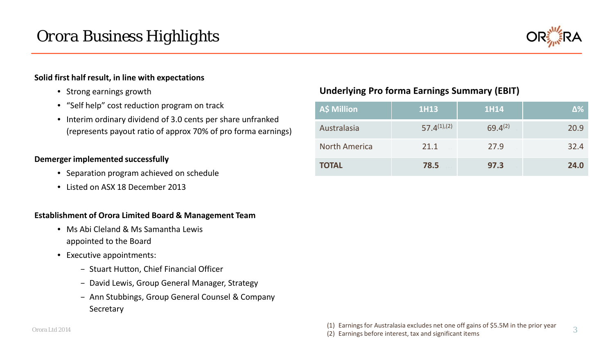

3

# **Solid first half result, in line with expectations**

- Strong earnings growth
- "Self help" cost reduction program on track
- Interim ordinary dividend of 3.0 cents per share unfranked (represents payout ratio of approx 70% of pro forma earnings)

## **Demerger implemented successfully**

- Separation program achieved on schedule
- Listed on ASX 18 December 2013

## **Establishment of Orora Limited Board & Management Team**

- Ms Abi Cleland & Ms Samantha Lewis appointed to the Board
- Executive appointments:
	- Stuart Hutton, Chief Financial Officer
	- David Lewis, Group General Manager, Strategy
	- Ann Stubbings, Group General Counsel & Company Secretary

# **Underlying Pro forma Earnings Summary (EBIT)**

| A\$ Million          | <b>1H13</b>      | 1H14         | Δ%   |
|----------------------|------------------|--------------|------|
| Australasia          | $57.4^{(1),(2)}$ | $69.4^{(2)}$ | 20.9 |
| <b>North America</b> | 21.1             | 27.9         | 32.4 |
| <b>TOTAL</b>         | 78.5             | 97.3         | 24.0 |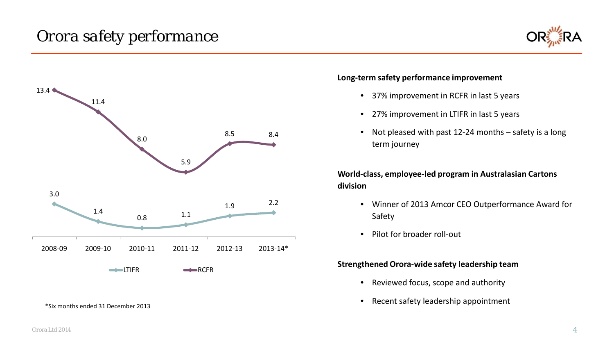# *Orora safety performance*





### **Long-term safety performance improvement**

- 37% improvement in RCFR in last 5 years
- 27% improvement in LTIFR in last 5 years
- Not pleased with past 12-24 months safety is a long term journey

**World-class, employee-led program in Australasian Cartons division**

- Winner of 2013 Amcor CEO Outperformance Award for Safety
- Pilot for broader roll-out

## **Strengthened Orora-wide safety leadership team**

- Reviewed focus, scope and authority
- Recent safety leadership appointment

\*Six months ended 31 December 2013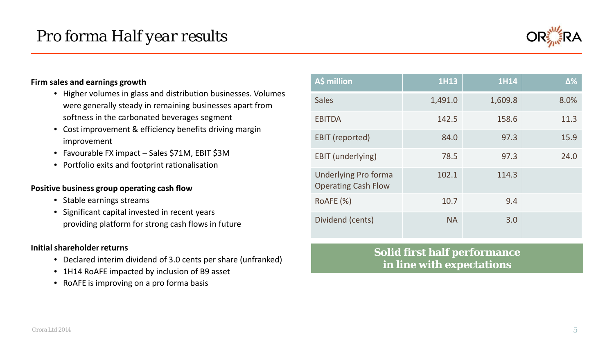

## **Firm sales and earnings growth**

- Higher volumes in glass and distribution businesses. Volumes were generally steady in remaining businesses apart from softness in the carbonated beverages segment
- Cost improvement & efficiency benefits driving margin improvement
- Favourable FX impact Sales \$71M, EBIT \$3M
- Portfolio exits and footprint rationalisation

### **Positive business group operating cash flow**

- Stable earnings streams
- Significant capital invested in recent years providing platform for strong cash flows in future

### **Initial shareholder returns**

- Declared interim dividend of 3.0 cents per share (unfranked)
- 1H14 RoAFE impacted by inclusion of B9 asset
- RoAFE is improving on a pro forma basis

| A\$ million                                        | 1H13      | <b>1H14</b> | Δ%   |
|----------------------------------------------------|-----------|-------------|------|
| <b>Sales</b>                                       | 1,491.0   | 1,609.8     | 8.0% |
| <b>EBITDA</b>                                      | 142.5     | 158.6       | 11.3 |
| <b>EBIT</b> (reported)                             | 84.0      | 97.3        | 15.9 |
| EBIT (underlying)                                  | 78.5      | 97.3        | 24.0 |
| Underlying Pro forma<br><b>Operating Cash Flow</b> | 102.1     | 114.3       |      |
| RoAFE (%)                                          | 10.7      | 9.4         |      |
| Dividend (cents)                                   | <b>NA</b> | 3.0         |      |

# **Solid first half performance in line with expectations**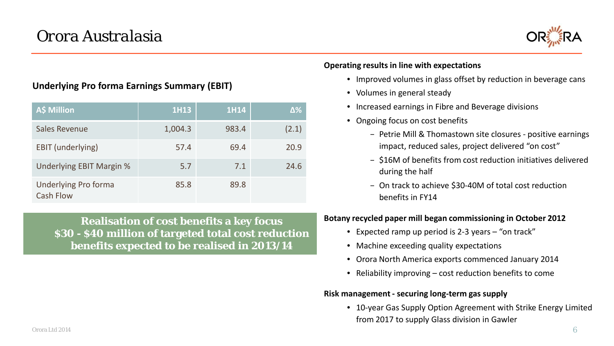

# **Underlying Pro forma Earnings Summary (EBIT)**

| <b>A\$ Million</b>                              | 1H13    | 1H14  | Δ%    |
|-------------------------------------------------|---------|-------|-------|
| Sales Revenue                                   | 1,004.3 | 983.4 | (2.1) |
| <b>EBIT</b> (underlying)                        | 57.4    | 69.4  | 20.9  |
| Underlying EBIT Margin %                        | 5.7     | 7.1   | 24.6  |
| <b>Underlying Pro forma</b><br><b>Cash Flow</b> | 85.8    | 89.8  |       |

**Realisation of cost benefits a key focus \$30 - \$40 million of targeted total cost reduction benefits expected to be realised in 2013/14**

# **Operating results in line with expectations**

- Improved volumes in glass offset by reduction in beverage cans
- Volumes in general steady
- Increased earnings in Fibre and Beverage divisions
- Ongoing focus on cost benefits
	- Petrie Mill & Thomastown site closures positive earnings impact, reduced sales, project delivered "on cost"
	- \$16M of benefits from cost reduction initiatives delivered during the half
	- On track to achieve \$30-40M of total cost reduction benefits in FY14

## **Botany recycled paper mill began commissioning in October 2012**

- Expected ramp up period is 2-3 years "on track"
- Machine exceeding quality expectations
- Orora North America exports commenced January 2014
- Reliability improving cost reduction benefits to come

## **Risk management - securing long-term gas supply**

• 10-year Gas Supply Option Agreement with Strike Energy Limited from 2017 to supply Glass division in Gawler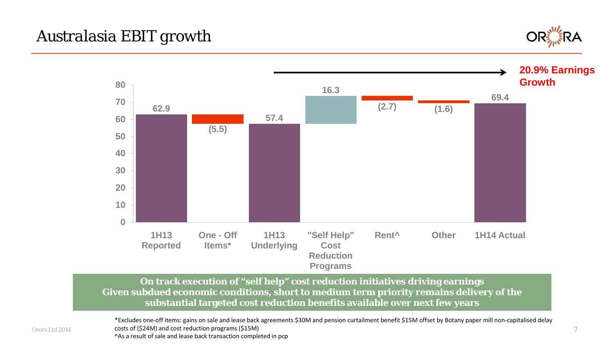# *Australasia EBIT growth*





**On track execution of "self help" cost reduction initiatives driving earnings Given subdued economic conditions, short to medium term priority remains delivery of the substantial targeted cost reduction benefits available over next few years**

\*Excludes one-off items: gains on sale and lease back agreements \$30M and pension curtailment benefit \$15M offset by Botany paper mill non-capitalised delay costs of (\$24M) and cost reduction programs (\$15M) ^As a result of sale and lease back transaction completed in pcp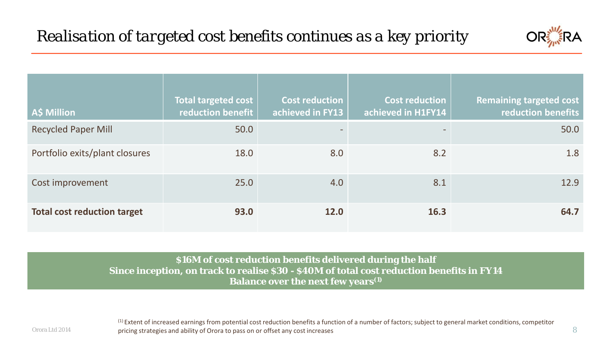

| A\$ Million                        | <b>Total targeted cost</b><br>reduction benefit | <b>Cost reduction</b><br>achieved in FY13 | <b>Cost reduction</b><br>achieved in H1FY14 | <b>Remaining targeted cost</b><br>reduction benefits |
|------------------------------------|-------------------------------------------------|-------------------------------------------|---------------------------------------------|------------------------------------------------------|
| <b>Recycled Paper Mill</b>         | 50.0                                            | $-$                                       |                                             | 50.0                                                 |
| Portfolio exits/plant closures     | 18.0                                            | 8.0                                       | 8.2                                         | 1.8                                                  |
| Cost improvement                   | 25.0                                            | 4.0                                       | 8.1                                         | 12.9                                                 |
| <b>Total cost reduction target</b> | 93.0                                            | 12.0                                      | 16.3                                        | 64.7                                                 |

**\$16M of cost reduction benefits delivered during the half Since inception, on track to realise \$30 - \$40M of total cost reduction benefits in FY14 Balance over the next few years(1)**

<sup>(1)</sup> Extent of increased earnings from potential cost reduction benefits a function of a number of factors; subject to general market conditions, competitor pricing strategies and ability of Orora to pass on or offset any cost increases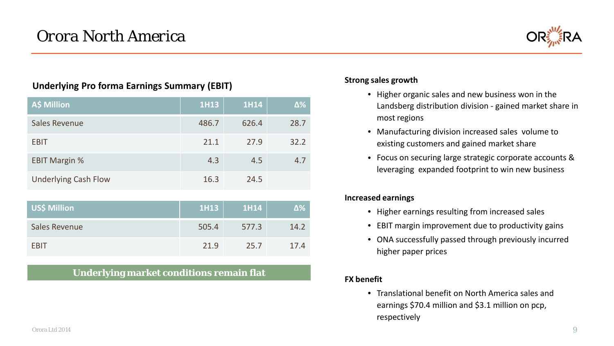

# **Underlying Pro forma Earnings Summary (EBIT)**

| <b>A\$ Million</b>          | <b>1H13</b> | <b>1H14</b> | $\Delta\%$ |
|-----------------------------|-------------|-------------|------------|
| <b>Sales Revenue</b>        | 486.7       | 626.4       | 28.7       |
| <b>EBIT</b>                 | 21.1        | 27.9        | 32.2       |
| <b>EBIT Margin %</b>        | 4.3         | 4.5         | 4.7        |
| <b>Underlying Cash Flow</b> | 16.3        | 24.5        |            |
|                             |             |             |            |
| <b>US\$ Million</b>         | <b>1H13</b> | <b>1H14</b> | $\Delta\%$ |
| <b>Sales Revenue</b>        | 505.4       | 577.3       | 14.2       |
| <b>EBIT</b>                 | 21.9        | 25.7        | 17.4       |

**Underlying market conditions remain flat**

# **Strong sales growth**

- Higher organic sales and new business won in the Landsberg distribution division - gained market share in most regions
- Manufacturing division increased sales volume to existing customers and gained market share
- Focus on securing large strategic corporate accounts & leveraging expanded footprint to win new business

# **Increased earnings**

- Higher earnings resulting from increased sales
- EBIT margin improvement due to productivity gains
- ONA successfully passed through previously incurred higher paper prices

# **FX benefit**

• Translational benefit on North America sales and earnings \$70.4 million and \$3.1 million on pcp, respectively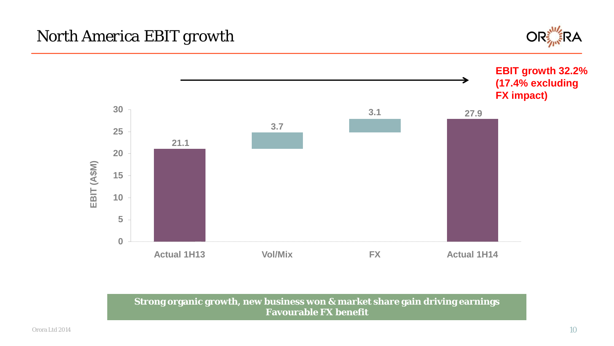# *North America EBIT growth*





**Strong organic growth, new business won & market share gain driving earnings Favourable FX benefit**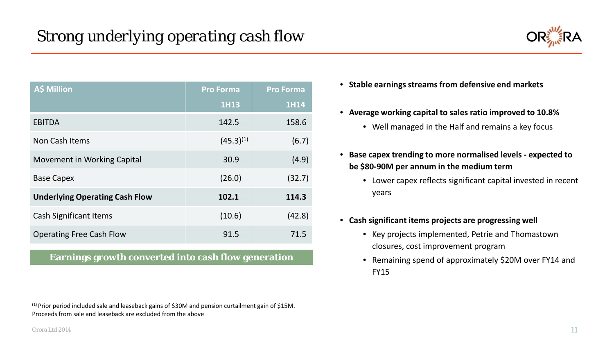

| <b>A\$ Million</b>                    | <b>Pro Forma</b> | <b>Pro Forma</b> |
|---------------------------------------|------------------|------------------|
|                                       | <b>1H13</b>      | 1H14             |
| <b>EBITDA</b>                         | 142.5            | 158.6            |
| Non Cash Items                        | $(45.3)^{(1)}$   | (6.7)            |
| <b>Movement in Working Capital</b>    | 30.9             | (4.9)            |
| <b>Base Capex</b>                     | (26.0)           | (32.7)           |
| <b>Underlying Operating Cash Flow</b> | 102.1            | 114.3            |
| <b>Cash Significant Items</b>         | (10.6)           | (42.8)           |
| <b>Operating Free Cash Flow</b>       | 91.5             | 71.5             |

**Earnings growth converted into cash flow generation**

 $<sup>(1)</sup>$  Prior period included sale and leaseback gains of \$30M and pension curtailment gain of \$15M.</sup> Proceeds from sale and leaseback are excluded from the above

- **Stable earnings streams from defensive end markets**
- **Average working capital to sales ratio improved to 10.8%**
	- Well managed in the Half and remains a key focus
- **Base capex trending to more normalised levels - expected to be \$80-90M per annum in the medium term**
	- Lower capex reflects significant capital invested in recent years
- **Cash significant items projects are progressing well**
	- Key projects implemented, Petrie and Thomastown closures, cost improvement program
	- Remaining spend of approximately \$20M over FY14 and FY15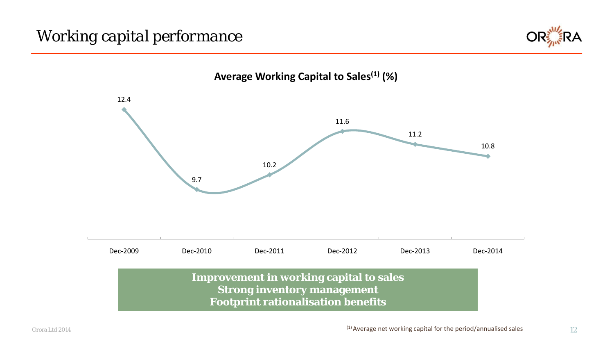# *Working capital performance*





**Average Working Capital to Sales(1) (%)**

**Strong inventory management Footprint rationalisation benefits**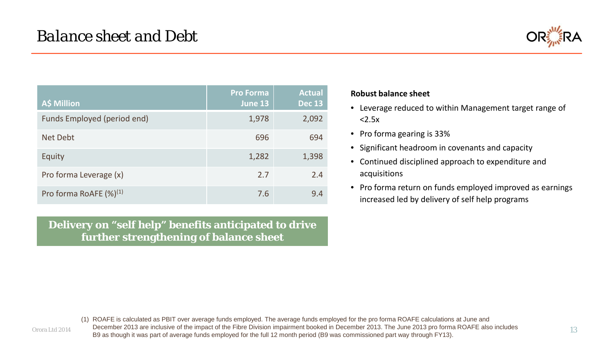

13

| A\$ Million                        | <b>Pro Forma</b><br>June 13 | <b>Actual</b><br><b>Dec 13</b> |
|------------------------------------|-----------------------------|--------------------------------|
| Funds Employed (period end)        | 1,978                       | 2,092                          |
| <b>Net Debt</b>                    | 696                         | 694                            |
| Equity                             | 1,282                       | 1,398                          |
| Pro forma Leverage (x)             | 2.7                         | 2.4                            |
| Pro forma RoAFE (%) <sup>(1)</sup> | 7.6                         | 9.4                            |

**Delivery on "self help" benefits anticipated to drive further strengthening of balance sheet**

# **Robust balance sheet**

- Leverage reduced to within Management target range of  $< 2.5x$
- Pro forma gearing is 33%
- Significant headroom in covenants and capacity
- Continued disciplined approach to expenditure and acquisitions
- Pro forma return on funds employed improved as earnings increased led by delivery of self help programs

(1) ROAFE is calculated as PBIT over average funds employed. The average funds employed for the pro forma ROAFE calculations at June and December 2013 are inclusive of the impact of the Fibre Division impairment booked in December 2013. The June 2013 pro forma ROAFE also includes B9 as though it was part of average funds employed for the full 12 month period (B9 was commissioned part way through FY13).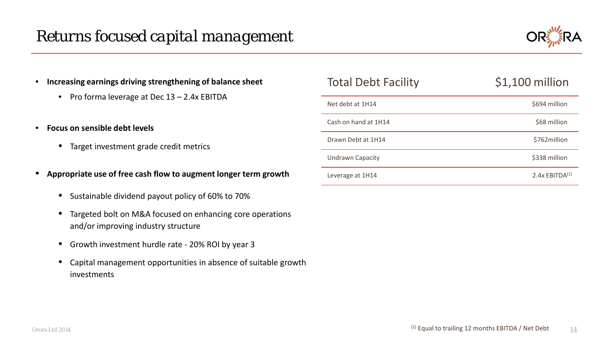

- **Increasing earnings driving strengthening of balance sheet** 
	- Pro forma leverage at Dec 13 2.4x EBITDA
- **Focus on sensible debt levels**
	- Target investment grade credit metrics
- **Appropriate use of free cash flow to augment longer term growth**
	- Sustainable dividend payout policy of 60% to 70%
	- Targeted bolt on M&A focused on enhancing core operations and/or improving industry structure
	- Growth investment hurdle rate 20% ROI by year 3
	- Capital management opportunities in absence of suitable growth investments

| <b>Total Debt Facility</b> | $$1,100$ million    |
|----------------------------|---------------------|
| Net debt at 1H14           | \$694 million       |
| Cash on hand at 1H14       | \$68 million        |
| Drawn Debt at 1H14         | \$762million        |
| <b>Undrawn Capacity</b>    | \$338 million       |
| Leverage at 1H14           | 2.4x $FBITDA^{(1)}$ |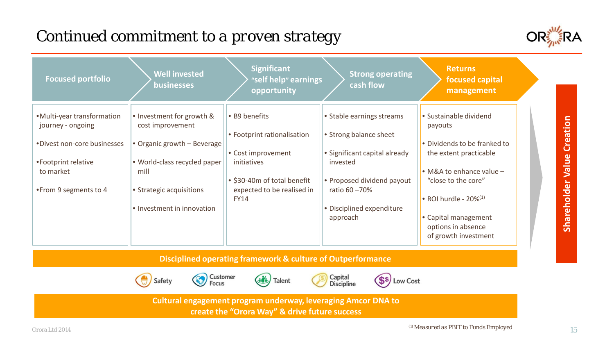# *Continued commitment to a proven strategy*



| <b>Focused portfolio</b>                         | <b>Well invested</b><br>businesses            | <b>Significant</b><br>"self help" earnings<br>opportunity | <b>Strong operating</b><br>cash flow                    | <b>Returns</b><br>focused capital<br>management                    |                           |
|--------------------------------------------------|-----------------------------------------------|-----------------------------------------------------------|---------------------------------------------------------|--------------------------------------------------------------------|---------------------------|
| • Multi-year transformation<br>journey - ongoing | • Investment for growth &<br>cost improvement | • B9 benefits                                             | • Stable earnings streams                               | • Sustainable dividend<br>payouts                                  |                           |
| • Divest non-core businesses                     | • Organic growth - Beverage                   | • Footprint rationalisation<br>• Cost improvement         | • Strong balance sheet<br>· Significant capital already | • Dividends to be franked to<br>the extent practicable             | Creation                  |
| • Footprint relative<br>to market                | • World-class recycled paper<br>mill          | initiatives<br>• \$30-40m of total benefit                | invested<br>• Proposed dividend payout                  | • M&A to enhance value -<br>"close to the core"                    | Value                     |
| • From 9 segments to 4                           | • Strategic acquisitions                      | expected to be realised in<br><b>FY14</b>                 | ratio 60 - 70%                                          | • ROI hurdle - $20\%$ <sup>(1)</sup>                               | der<br>$\bar{\mathbf{p}}$ |
|                                                  | • Investment in innovation                    |                                                           | • Disciplined expenditure<br>approach                   | • Capital management<br>options in absence<br>of growth investment | ဖွ<br><b>Ieurs</b>        |

### **Disciplined operating framework & culture of Outperformance**





 $\left(\frac{1}{2}\right)$ Talent



 $$$ \$\$ Low Cost

**Cultural engagement program underway, leveraging Amcor DNA to create the "Orora Way" & drive future success**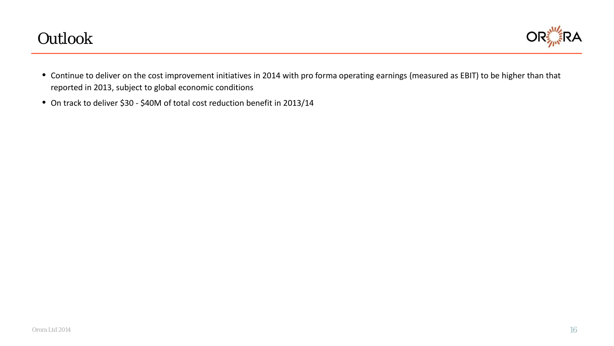

- Continue to deliver on the cost improvement initiatives in 2014 with pro forma operating earnings (measured as EBIT) to be higher than that reported in 2013, subject to global economic conditions
- On track to deliver \$30 \$40M of total cost reduction benefit in 2013/14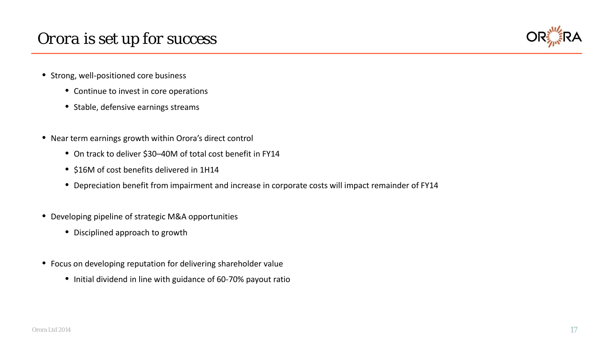

- Strong, well-positioned core business
	- Continue to invest in core operations
	- Stable, defensive earnings streams
- Near term earnings growth within Orora's direct control
	- On track to deliver \$30–40M of total cost benefit in FY14
	- \$16M of cost benefits delivered in 1H14
	- Depreciation benefit from impairment and increase in corporate costs will impact remainder of FY14
- Developing pipeline of strategic M&A opportunities
	- Disciplined approach to growth
- Focus on developing reputation for delivering shareholder value
	- Initial dividend in line with guidance of 60-70% payout ratio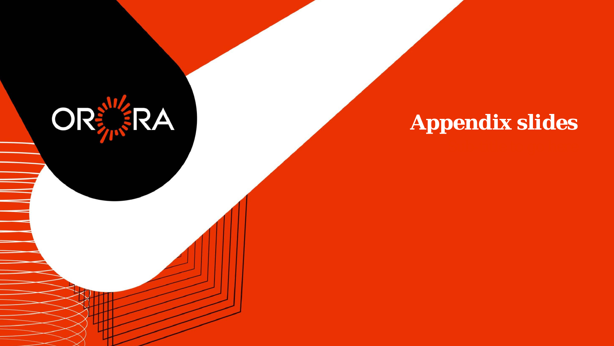

# *Appendix slides*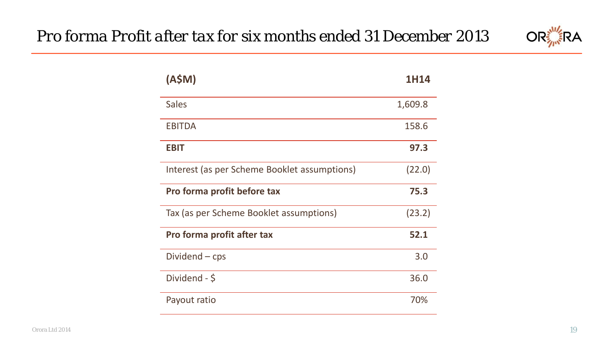

| (A\$M)                                       | 1H14    |
|----------------------------------------------|---------|
| <b>Sales</b>                                 | 1,609.8 |
| <b>EBITDA</b>                                | 158.6   |
| <b>EBIT</b>                                  | 97.3    |
| Interest (as per Scheme Booklet assumptions) | (22.0)  |
| Pro forma profit before tax                  | 75.3    |
| Tax (as per Scheme Booklet assumptions)      | (23.2)  |
| Pro forma profit after tax                   | 52.1    |
| Dividend – cps                               | 3.0     |
| Dividend - \$                                | 36.0    |
| Payout ratio                                 | 70%     |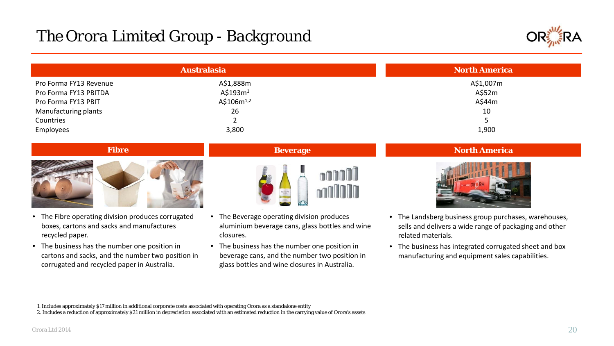# *The Orora Limited Group - Background*



| <b>Australasia</b>     |                        | North America |
|------------------------|------------------------|---------------|
| Pro Forma FY13 Revenue | A\$1,888m              | A\$1,007m     |
| Pro Forma FY13 PBITDA  | A\$193m <sup>1</sup>   | A\$52m        |
| Pro Forma FY13 PBIT    | A\$106m <sup>1,2</sup> | A\$44m        |
| Manufacturing plants   | 26                     | 10            |
| Countries              |                        |               |
| Employees              | 3,800                  | 1,900         |

nnn 11





- The Fibre operating division produces corrugated boxes, cartons and sacks and manufactures recycled paper.
- The business has the number one position in cartons and sacks, and the number two position in corrugated and recycled paper in Australia.
- The Beverage operating division produces
	- aluminium beverage cans, glass bottles and wine closures.
- The business has the number one position in beverage cans, and the number two position in glass bottles and wine closures in Australia.

### **Fibre <b>Beverage Beverage Beverage Research America**



- The Landsberg business group purchases, warehouses, sells and delivers a wide range of packaging and other related materials.
- The business has integrated corrugated sheet and box manufacturing and equipment sales capabilities.

<sup>1.</sup> Includes approximately \$17 million in additional corporate costs associated with operating Orora as a standalone entity

<sup>2.</sup> Includes a reduction of approximately \$21 million in depreciation associated with an estimated reduction in the carrying value of Orora's assets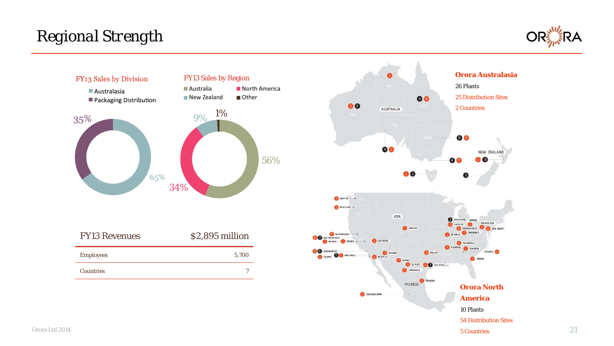# *Regional Strength*



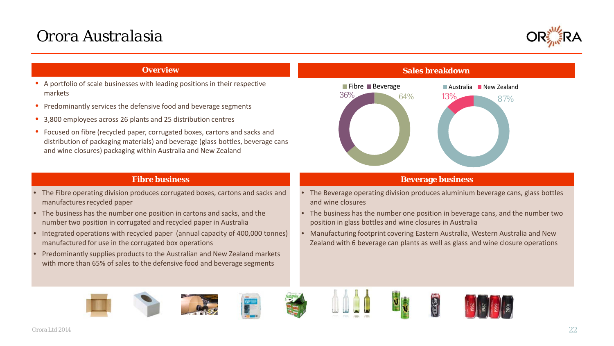# *Orora Australasia*



- A portfolio of scale businesses with leading positions in their respective markets
- Predominantly services the defensive food and beverage segments
- 3,800 employees across 26 plants and 25 distribution centres
- Focused on fibre (recycled paper, corrugated boxes, cartons and sacks and distribution of packaging materials) and beverage (glass bottles, beverage cans and wine closures) packaging within Australia and New Zealand

### **Overview <b>Sales breakdown**



### **Fibre business Beverage business Beverage business**

- The Beverage operating division produces aluminium beverage cans, glass bottles and wine closures
- The business has the number one position in beverage cans, and the number two position in glass bottles and wine closures in Australia
- Manufacturing footprint covering Eastern Australia, Western Australia and New Zealand with 6 beverage can plants as well as glass and wine closure operations

- The Fibre operating division produces corrugated boxes, cartons and sacks and manufactures recycled paper
- The business has the number one position in cartons and sacks, and the number two position in corrugated and recycled paper in Australia
- Integrated operations with recycled paper (annual capacity of 400,000 tonnes) manufactured for use in the corrugated box operations
- Predominantly supplies products to the Australian and New Zealand markets with more than 65% of sales to the defensive food and beverage segments